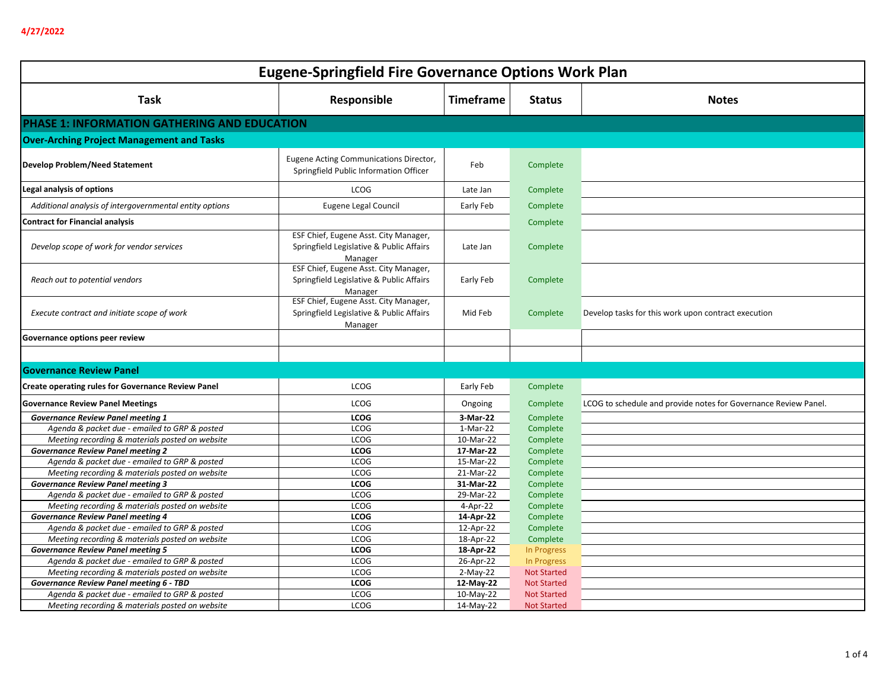| <b>Eugene-Springfield Fire Governance Options Work Plan</b> |                                                                                              |                  |                    |                                                                 |
|-------------------------------------------------------------|----------------------------------------------------------------------------------------------|------------------|--------------------|-----------------------------------------------------------------|
| <b>Task</b>                                                 | Responsible                                                                                  | <b>Timeframe</b> | <b>Status</b>      | <b>Notes</b>                                                    |
| PHASE 1: INFORMATION GATHERING AND EDUCATION                |                                                                                              |                  |                    |                                                                 |
| <b>Over-Arching Project Management and Tasks</b>            |                                                                                              |                  |                    |                                                                 |
| <b>Develop Problem/Need Statement</b>                       | Eugene Acting Communications Director,<br>Springfield Public Information Officer             | Feb              | Complete           |                                                                 |
| Legal analysis of options                                   | <b>LCOG</b>                                                                                  | Late Jan         | Complete           |                                                                 |
| Additional analysis of intergovernmental entity options     | Eugene Legal Council                                                                         | Early Feb        | Complete           |                                                                 |
| <b>Contract for Financial analysis</b>                      |                                                                                              |                  | Complete           |                                                                 |
|                                                             | ESF Chief, Eugene Asst. City Manager,                                                        |                  |                    |                                                                 |
| Develop scope of work for vendor services                   | Springfield Legislative & Public Affairs<br>Manager                                          | Late Jan         | Complete           |                                                                 |
| Reach out to potential vendors                              | ESF Chief, Eugene Asst. City Manager,<br>Springfield Legislative & Public Affairs<br>Manager | Early Feb        | Complete           |                                                                 |
| Execute contract and initiate scope of work                 | ESF Chief, Eugene Asst. City Manager,<br>Springfield Legislative & Public Affairs<br>Manager | Mid Feb          | Complete           | Develop tasks for this work upon contract execution             |
| Governance options peer review                              |                                                                                              |                  |                    |                                                                 |
|                                                             |                                                                                              |                  |                    |                                                                 |
| <b>Governance Review Panel</b>                              |                                                                                              |                  |                    |                                                                 |
| <b>Create operating rules for Governance Review Panel</b>   | <b>LCOG</b>                                                                                  | Early Feb        | Complete           |                                                                 |
| <b>Governance Review Panel Meetings</b>                     | <b>LCOG</b>                                                                                  | Ongoing          | Complete           | LCOG to schedule and provide notes for Governance Review Panel. |
| <b>Governance Review Panel meeting 1</b>                    | <b>LCOG</b>                                                                                  | 3-Mar-22         | Complete           |                                                                 |
| Agenda & packet due - emailed to GRP & posted               | <b>LCOG</b>                                                                                  | 1-Mar-22         | Complete           |                                                                 |
| Meeting recording & materials posted on website             | <b>LCOG</b>                                                                                  | 10-Mar-22        | Complete           |                                                                 |
| <b>Governance Review Panel meeting 2</b>                    | <b>LCOG</b>                                                                                  | 17-Mar-22        | Complete           |                                                                 |
| Agenda & packet due - emailed to GRP & posted               | LCOG                                                                                         | 15-Mar-22        | Complete           |                                                                 |
| Meeting recording & materials posted on website             | <b>LCOG</b>                                                                                  | 21-Mar-22        | Complete           |                                                                 |
| <b>Governance Review Panel meeting 3</b>                    | <b>LCOG</b>                                                                                  | 31-Mar-22        | Complete           |                                                                 |
| Agenda & packet due - emailed to GRP & posted               | <b>LCOG</b>                                                                                  | 29-Mar-22        | Complete           |                                                                 |
| Meeting recording & materials posted on website             | <b>LCOG</b>                                                                                  | 4-Apr-22         | Complete           |                                                                 |
| <b>Governance Review Panel meeting 4</b>                    | <b>LCOG</b>                                                                                  | 14-Apr-22        | Complete           |                                                                 |
| Agenda & packet due - emailed to GRP & posted               | <b>LCOG</b>                                                                                  | 12-Apr-22        | Complete           |                                                                 |
| Meeting recording & materials posted on website             | <b>LCOG</b>                                                                                  | 18-Apr-22        | Complete           |                                                                 |
| <b>Governance Review Panel meeting 5</b>                    | <b>LCOG</b>                                                                                  | 18-Apr-22        | In Progress        |                                                                 |
| Agenda & packet due - emailed to GRP & posted               | <b>LCOG</b>                                                                                  | 26-Apr-22        | In Progress        |                                                                 |
| Meeting recording & materials posted on website             | <b>LCOG</b>                                                                                  | $2-May-22$       | <b>Not Started</b> |                                                                 |
| Governance Review Panel meeting 6 - TBD                     | <b>LCOG</b>                                                                                  | 12-May-22        | <b>Not Started</b> |                                                                 |
| Agenda & packet due - emailed to GRP & posted               | <b>LCOG</b>                                                                                  | 10-May-22        | <b>Not Started</b> |                                                                 |
| Meeting recording & materials posted on website             | <b>LCOG</b>                                                                                  | 14-May-22        | <b>Not Started</b> |                                                                 |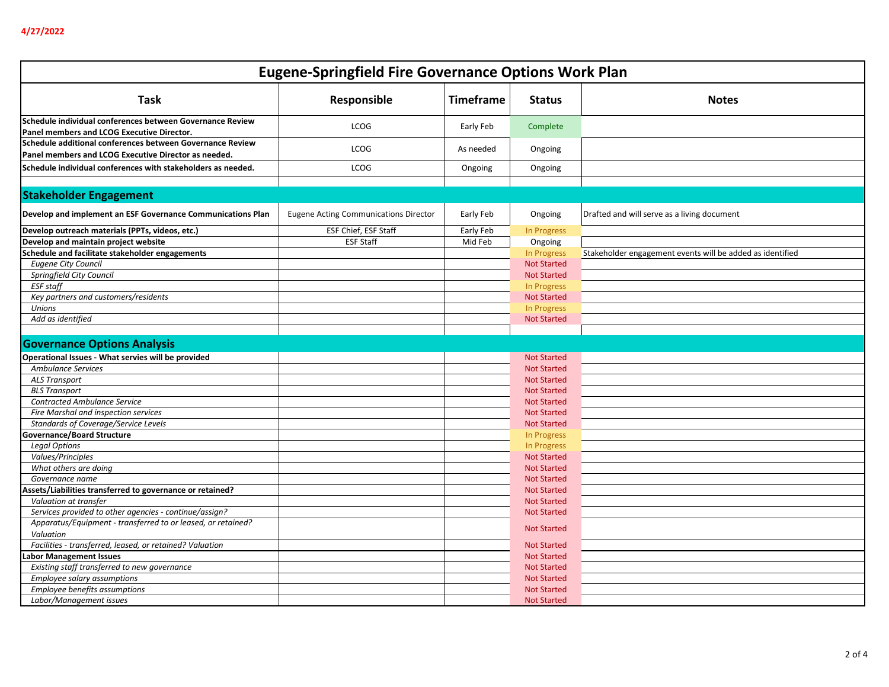| <b>Eugene-Springfield Fire Governance Options Work Plan</b>  |                                              |                  |                    |                                                           |
|--------------------------------------------------------------|----------------------------------------------|------------------|--------------------|-----------------------------------------------------------|
| Task                                                         | Responsible                                  | <b>Timeframe</b> | <b>Status</b>      | <b>Notes</b>                                              |
| Schedule individual conferences between Governance Review    |                                              |                  |                    |                                                           |
| Panel members and LCOG Executive Director.                   | <b>LCOG</b>                                  | Early Feb        | Complete           |                                                           |
| Schedule additional conferences between Governance Review    | LCOG                                         | As needed        |                    |                                                           |
| Panel members and LCOG Executive Director as needed.         |                                              |                  | Ongoing            |                                                           |
| Schedule individual conferences with stakeholders as needed. | <b>LCOG</b>                                  | Ongoing          | Ongoing            |                                                           |
|                                                              |                                              |                  |                    |                                                           |
| <b>Stakeholder Engagement</b>                                |                                              |                  |                    |                                                           |
| Develop and implement an ESF Governance Communications Plan  | <b>Eugene Acting Communications Director</b> | Early Feb        | Ongoing            | Drafted and will serve as a living document               |
| Develop outreach materials (PPTs, videos, etc.)              | ESF Chief, ESF Staff                         | Early Feb        | In Progress        |                                                           |
| Develop and maintain project website                         | <b>ESF Staff</b>                             | Mid Feb          | Ongoing            |                                                           |
| Schedule and facilitate stakeholder engagements              |                                              |                  | In Progress        | Stakeholder engagement events will be added as identified |
| <b>Eugene City Council</b>                                   |                                              |                  | <b>Not Started</b> |                                                           |
| Springfield City Council                                     |                                              |                  | <b>Not Started</b> |                                                           |
| <b>ESF</b> staff                                             |                                              |                  | In Progress        |                                                           |
| Key partners and customers/residents                         |                                              |                  | <b>Not Started</b> |                                                           |
| <b>Unions</b>                                                |                                              |                  | In Progress        |                                                           |
| Add as identified                                            |                                              |                  | <b>Not Started</b> |                                                           |
| <b>Governance Options Analysis</b>                           |                                              |                  |                    |                                                           |
| Operational Issues - What servies will be provided           |                                              |                  | <b>Not Started</b> |                                                           |
| <b>Ambulance Services</b>                                    |                                              |                  | <b>Not Started</b> |                                                           |
| <b>ALS Transport</b>                                         |                                              |                  | <b>Not Started</b> |                                                           |
| <b>BLS Transport</b>                                         |                                              |                  | <b>Not Started</b> |                                                           |
| <b>Contracted Ambulance Service</b>                          |                                              |                  | <b>Not Started</b> |                                                           |
| Fire Marshal and inspection services                         |                                              |                  | <b>Not Started</b> |                                                           |
| Standards of Coverage/Service Levels                         |                                              |                  | <b>Not Started</b> |                                                           |
| <b>Governance/Board Structure</b>                            |                                              |                  | In Progress        |                                                           |
| <b>Legal Options</b>                                         |                                              |                  | In Progress        |                                                           |
| Values/Principles                                            |                                              |                  | <b>Not Started</b> |                                                           |
| What others are doing                                        |                                              |                  | <b>Not Started</b> |                                                           |
| Governance name                                              |                                              |                  | <b>Not Started</b> |                                                           |
| Assets/Liabilities transferred to governance or retained?    |                                              |                  | <b>Not Started</b> |                                                           |
| Valuation at transfer                                        |                                              |                  | <b>Not Started</b> |                                                           |
| Services provided to other agencies - continue/assign?       |                                              |                  | <b>Not Started</b> |                                                           |
| Apparatus/Equipment - transferred to or leased, or retained? |                                              |                  |                    |                                                           |
| Valuation                                                    |                                              |                  | <b>Not Started</b> |                                                           |
| Facilities - transferred, leased, or retained? Valuation     |                                              |                  | <b>Not Started</b> |                                                           |
| Labor Management Issues                                      |                                              |                  | <b>Not Started</b> |                                                           |
| Existing staff transferred to new governance                 |                                              |                  | <b>Not Started</b> |                                                           |
| Employee salary assumptions                                  |                                              |                  | <b>Not Started</b> |                                                           |
| Employee benefits assumptions                                |                                              |                  | <b>Not Started</b> |                                                           |
| Labor/Management issues                                      |                                              |                  | <b>Not Started</b> |                                                           |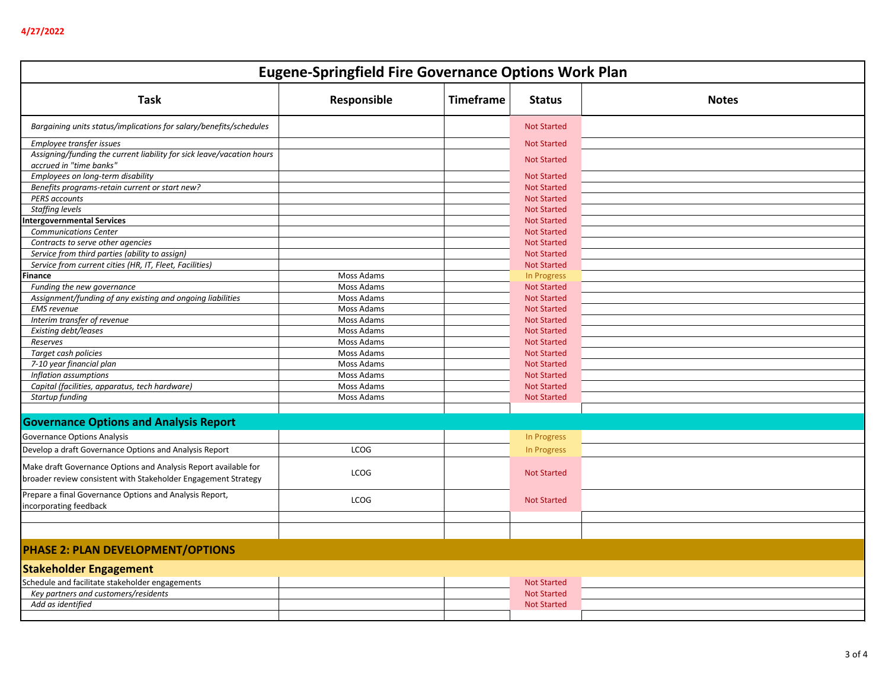| <b>Eugene-Springfield Fire Governance Options Work Plan</b>                                                                       |             |                  |                    |              |
|-----------------------------------------------------------------------------------------------------------------------------------|-------------|------------------|--------------------|--------------|
| <b>Task</b>                                                                                                                       | Responsible | <b>Timeframe</b> | <b>Status</b>      | <b>Notes</b> |
| Bargaining units status/implications for salary/benefits/schedules                                                                |             |                  | <b>Not Started</b> |              |
| Employee transfer issues                                                                                                          |             |                  | <b>Not Started</b> |              |
| Assigning/funding the current liability for sick leave/vacation hours                                                             |             |                  |                    |              |
| accrued in "time banks"                                                                                                           |             |                  | <b>Not Started</b> |              |
| Employees on long-term disability                                                                                                 |             |                  | <b>Not Started</b> |              |
| Benefits programs-retain current or start new?                                                                                    |             |                  | <b>Not Started</b> |              |
| <b>PERS accounts</b>                                                                                                              |             |                  | <b>Not Started</b> |              |
| <b>Staffing levels</b>                                                                                                            |             |                  | <b>Not Started</b> |              |
| <b>Intergovernmental Services</b>                                                                                                 |             |                  | <b>Not Started</b> |              |
| <b>Communications Center</b>                                                                                                      |             |                  | <b>Not Started</b> |              |
| Contracts to serve other agencies                                                                                                 |             |                  | <b>Not Started</b> |              |
| Service from third parties (ability to assign)                                                                                    |             |                  | <b>Not Started</b> |              |
| Service from current cities (HR, IT, Fleet, Facilities)                                                                           |             |                  | <b>Not Started</b> |              |
| Finance                                                                                                                           | Moss Adams  |                  | In Progress        |              |
| Funding the new governance                                                                                                        | Moss Adams  |                  | <b>Not Started</b> |              |
| Assignment/funding of any existing and ongoing liabilities                                                                        | Moss Adams  |                  | <b>Not Started</b> |              |
| <b>EMS</b> revenue                                                                                                                | Moss Adams  |                  | <b>Not Started</b> |              |
| Interim transfer of revenue                                                                                                       | Moss Adams  |                  | <b>Not Started</b> |              |
| Existing debt/leases                                                                                                              | Moss Adams  |                  | <b>Not Started</b> |              |
| Reserves                                                                                                                          | Moss Adams  |                  | <b>Not Started</b> |              |
| Target cash policies                                                                                                              | Moss Adams  |                  | <b>Not Started</b> |              |
| 7-10 year financial plan                                                                                                          | Moss Adams  |                  | <b>Not Started</b> |              |
| Inflation assumptions                                                                                                             | Moss Adams  |                  | <b>Not Started</b> |              |
| Capital (facilities, apparatus, tech hardware)                                                                                    | Moss Adams  |                  | <b>Not Started</b> |              |
| Startup funding                                                                                                                   | Moss Adams  |                  | <b>Not Started</b> |              |
| <b>Governance Options and Analysis Report</b>                                                                                     |             |                  |                    |              |
| Governance Options Analysis                                                                                                       |             |                  | In Progress        |              |
| Develop a draft Governance Options and Analysis Report                                                                            | <b>LCOG</b> |                  | <b>In Progress</b> |              |
| Make draft Governance Options and Analysis Report available for<br>broader review consistent with Stakeholder Engagement Strategy | <b>LCOG</b> |                  | <b>Not Started</b> |              |
| Prepare a final Governance Options and Analysis Report,<br>incorporating feedback                                                 | <b>LCOG</b> |                  | <b>Not Started</b> |              |
|                                                                                                                                   |             |                  |                    |              |
|                                                                                                                                   |             |                  |                    |              |
| <b>PHASE 2: PLAN DEVELOPMENT/OPTIONS</b>                                                                                          |             |                  |                    |              |
| <b>Stakeholder Engagement</b>                                                                                                     |             |                  |                    |              |
| Schedule and facilitate stakeholder engagements                                                                                   |             |                  | <b>Not Started</b> |              |
| Key partners and customers/residents                                                                                              |             |                  | <b>Not Started</b> |              |
| Add as identified                                                                                                                 |             |                  | <b>Not Started</b> |              |
|                                                                                                                                   |             |                  |                    |              |